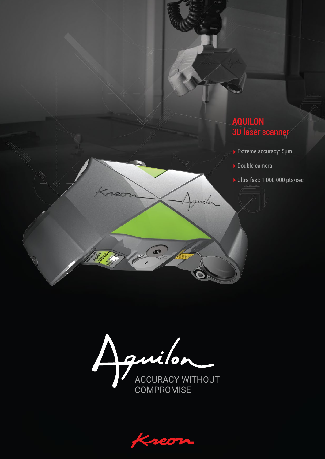# **AQUILON** 3D laser scanner

- ▶ Extreme accuracy: 5µm
- Double camera

vilor

Ultra fast: 1 000 000 pts/sec

ACCURACY WITHOUT

æ

**COMPROMISE** 

 $\mathcal{C}$